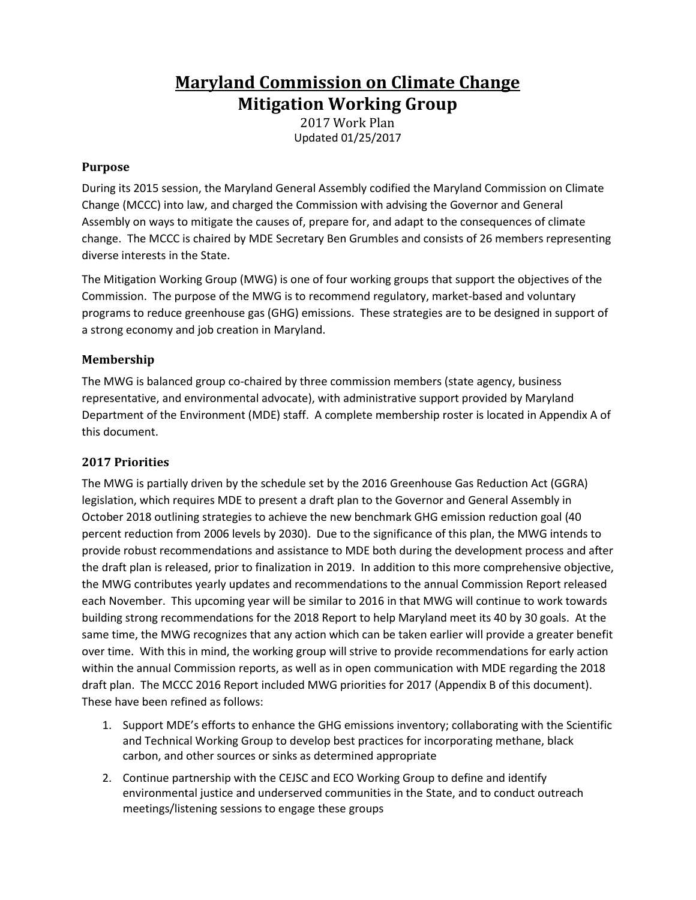# **Maryland Commission on Climate Change Mitigation Working Group**

2017 Work Plan Updated 01/25/2017

#### **Purpose**

During its 2015 session, the Maryland General Assembly codified the Maryland Commission on Climate Change (MCCC) into law, and charged the Commission with advising the Governor and General Assembly on ways to mitigate the causes of, prepare for, and adapt to the consequences of climate change. The MCCC is chaired by MDE Secretary Ben Grumbles and consists of 26 members representing diverse interests in the State.

The Mitigation Working Group (MWG) is one of four working groups that support the objectives of the Commission. The purpose of the MWG is to recommend regulatory, market-based and voluntary programs to reduce greenhouse gas (GHG) emissions. These strategies are to be designed in support of a strong economy and job creation in Maryland.

## **Membership**

The MWG is balanced group co-chaired by three commission members (state agency, business representative, and environmental advocate), with administrative support provided by Maryland Department of the Environment (MDE) staff. A complete membership roster is located in Appendix A of this document.

## **2017 Priorities**

The MWG is partially driven by the schedule set by the 2016 Greenhouse Gas Reduction Act (GGRA) legislation, which requires MDE to present a draft plan to the Governor and General Assembly in October 2018 outlining strategies to achieve the new benchmark GHG emission reduction goal (40 percent reduction from 2006 levels by 2030). Due to the significance of this plan, the MWG intends to provide robust recommendations and assistance to MDE both during the development process and after the draft plan is released, prior to finalization in 2019. In addition to this more comprehensive objective, the MWG contributes yearly updates and recommendations to the annual Commission Report released each November. This upcoming year will be similar to 2016 in that MWG will continue to work towards building strong recommendations for the 2018 Report to help Maryland meet its 40 by 30 goals. At the same time, the MWG recognizes that any action which can be taken earlier will provide a greater benefit over time. With this in mind, the working group will strive to provide recommendations for early action within the annual Commission reports, as well as in open communication with MDE regarding the 2018 draft plan. The MCCC 2016 Report included MWG priorities for 2017 (Appendix B of this document). These have been refined as follows:

- 1. Support MDE's efforts to enhance the GHG emissions inventory; collaborating with the Scientific and Technical Working Group to develop best practices for incorporating methane, black carbon, and other sources or sinks as determined appropriate
- 2. Continue partnership with the CEJSC and ECO Working Group to define and identify environmental justice and underserved communities in the State, and to conduct outreach meetings/listening sessions to engage these groups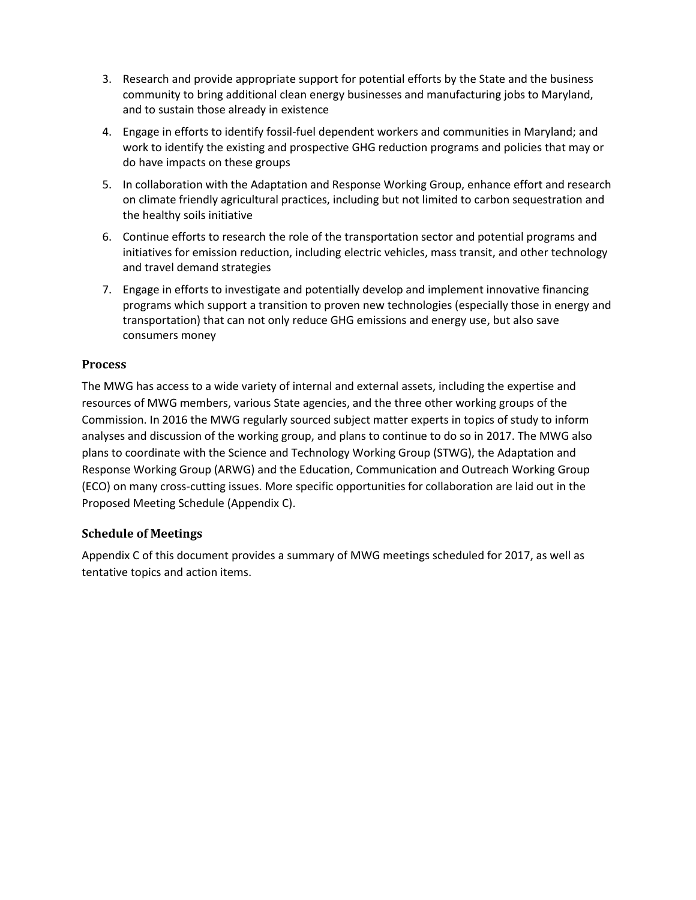- 3. Research and provide appropriate support for potential efforts by the State and the business community to bring additional clean energy businesses and manufacturing jobs to Maryland, and to sustain those already in existence
- 4. Engage in efforts to identify fossil-fuel dependent workers and communities in Maryland; and work to identify the existing and prospective GHG reduction programs and policies that may or do have impacts on these groups
- 5. In collaboration with the Adaptation and Response Working Group, enhance effort and research on climate friendly agricultural practices, including but not limited to carbon sequestration and the healthy soils initiative
- 6. Continue efforts to research the role of the transportation sector and potential programs and initiatives for emission reduction, including electric vehicles, mass transit, and other technology and travel demand strategies
- 7. Engage in efforts to investigate and potentially develop and implement innovative financing programs which support a transition to proven new technologies (especially those in energy and transportation) that can not only reduce GHG emissions and energy use, but also save consumers money

#### **Process**

The MWG has access to a wide variety of internal and external assets, including the expertise and resources of MWG members, various State agencies, and the three other working groups of the Commission. In 2016 the MWG regularly sourced subject matter experts in topics of study to inform analyses and discussion of the working group, and plans to continue to do so in 2017. The MWG also plans to coordinate with the Science and Technology Working Group (STWG), the Adaptation and Response Working Group (ARWG) and the Education, Communication and Outreach Working Group (ECO) on many cross-cutting issues. More specific opportunities for collaboration are laid out in the Proposed Meeting Schedule (Appendix C).

#### **Schedule of Meetings**

Appendix C of this document provides a summary of MWG meetings scheduled for 2017, as well as tentative topics and action items.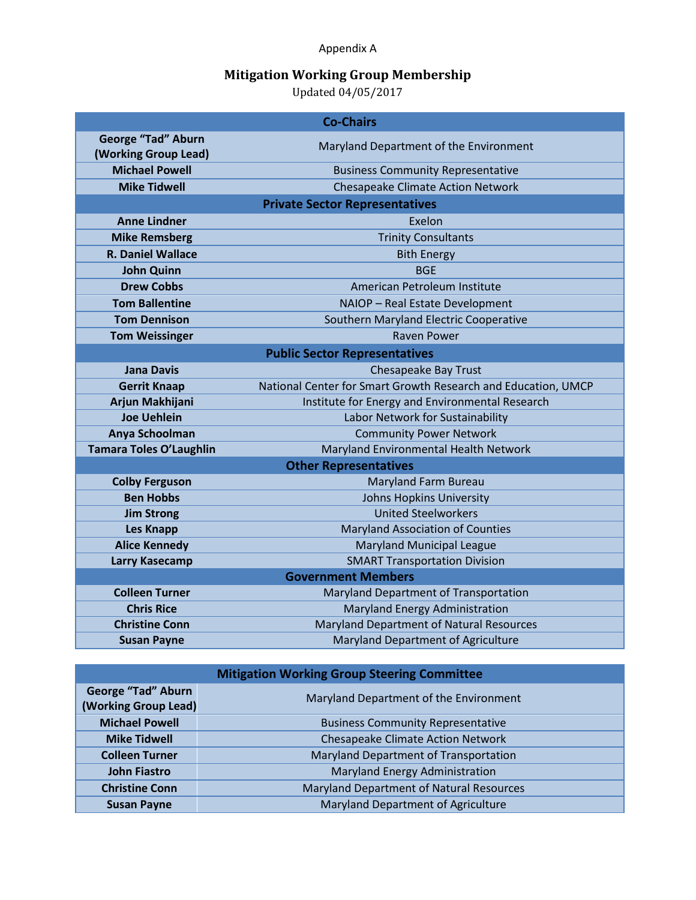Appendix A

## **Mitigation Working Group Membership**

Updated 04/05/2017

| <b>Co-Chairs</b>                                  |                                                               |  |  |  |
|---------------------------------------------------|---------------------------------------------------------------|--|--|--|
| <b>George "Tad" Aburn</b><br>(Working Group Lead) | Maryland Department of the Environment                        |  |  |  |
| <b>Michael Powell</b>                             | <b>Business Community Representative</b>                      |  |  |  |
| <b>Mike Tidwell</b>                               | <b>Chesapeake Climate Action Network</b>                      |  |  |  |
| <b>Private Sector Representatives</b>             |                                                               |  |  |  |
| <b>Anne Lindner</b>                               | Exelon                                                        |  |  |  |
| <b>Mike Remsberg</b>                              | <b>Trinity Consultants</b>                                    |  |  |  |
| <b>R. Daniel Wallace</b>                          | <b>Bith Energy</b>                                            |  |  |  |
| <b>John Quinn</b>                                 | <b>BGE</b>                                                    |  |  |  |
| <b>Drew Cobbs</b>                                 | American Petroleum Institute                                  |  |  |  |
| <b>Tom Ballentine</b>                             | NAIOP - Real Estate Development                               |  |  |  |
| <b>Tom Dennison</b>                               | Southern Maryland Electric Cooperative                        |  |  |  |
| <b>Tom Weissinger</b>                             | <b>Raven Power</b>                                            |  |  |  |
| <b>Public Sector Representatives</b>              |                                                               |  |  |  |
| <b>Jana Davis</b>                                 | Chesapeake Bay Trust                                          |  |  |  |
| <b>Gerrit Knaap</b>                               | National Center for Smart Growth Research and Education, UMCP |  |  |  |
| Arjun Makhijani                                   | Institute for Energy and Environmental Research               |  |  |  |
| <b>Joe Uehlein</b>                                | Labor Network for Sustainability                              |  |  |  |
| Anya Schoolman                                    | <b>Community Power Network</b>                                |  |  |  |
| <b>Tamara Toles O'Laughlin</b>                    | Maryland Environmental Health Network                         |  |  |  |
| <b>Other Representatives</b>                      |                                                               |  |  |  |
| <b>Colby Ferguson</b>                             | Maryland Farm Bureau                                          |  |  |  |
| <b>Ben Hobbs</b>                                  | Johns Hopkins University                                      |  |  |  |
| <b>Jim Strong</b>                                 | <b>United Steelworkers</b>                                    |  |  |  |
| <b>Les Knapp</b>                                  | <b>Maryland Association of Counties</b>                       |  |  |  |
| <b>Alice Kennedy</b>                              | <b>Maryland Municipal League</b>                              |  |  |  |
| Larry Kasecamp                                    | <b>SMART Transportation Division</b>                          |  |  |  |
| <b>Government Members</b>                         |                                                               |  |  |  |
| <b>Colleen Turner</b>                             | Maryland Department of Transportation                         |  |  |  |
| <b>Chris Rice</b>                                 | Maryland Energy Administration                                |  |  |  |
| <b>Christine Conn</b>                             | Maryland Department of Natural Resources                      |  |  |  |
| <b>Susan Payne</b>                                | Maryland Department of Agriculture                            |  |  |  |

| <b>Mitigation Working Group Steering Committee</b> |                                                 |  |  |  |
|----------------------------------------------------|-------------------------------------------------|--|--|--|
| <b>George "Tad" Aburn</b><br>(Working Group Lead)  | Maryland Department of the Environment          |  |  |  |
| <b>Michael Powell</b>                              | <b>Business Community Representative</b>        |  |  |  |
| <b>Mike Tidwell</b>                                | <b>Chesapeake Climate Action Network</b>        |  |  |  |
| <b>Colleen Turner</b>                              | Maryland Department of Transportation           |  |  |  |
| <b>John Fiastro</b>                                | Maryland Energy Administration                  |  |  |  |
| <b>Christine Conn</b>                              | <b>Maryland Department of Natural Resources</b> |  |  |  |
| <b>Susan Payne</b>                                 | Maryland Department of Agriculture              |  |  |  |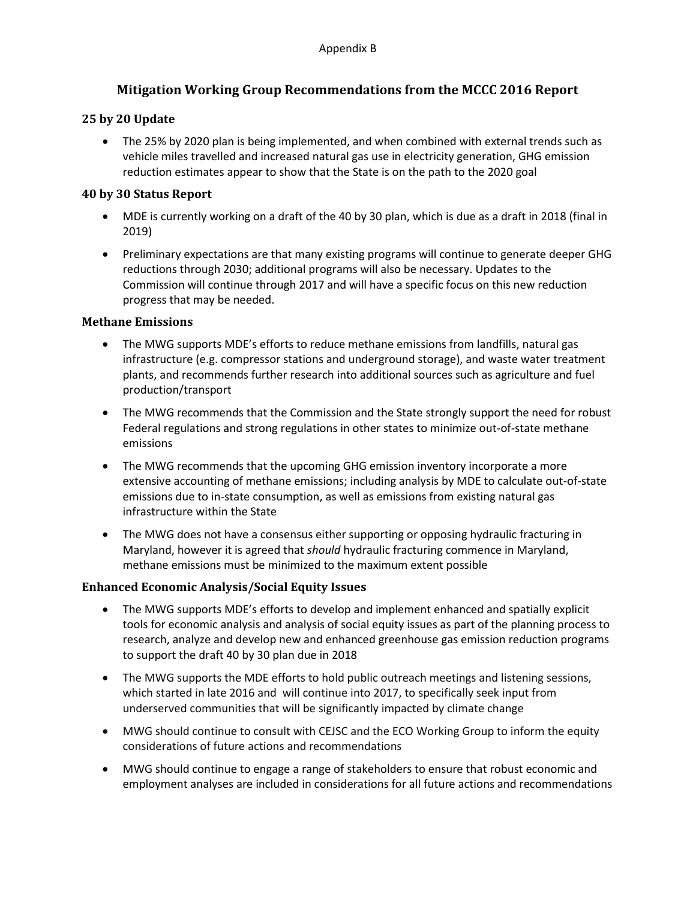## **Mitigation Working Group Recommendations from the MCCC 2016 Report**

## **25 by 20 Update**

 The 25% by 2020 plan is being implemented, and when combined with external trends such as vehicle miles travelled and increased natural gas use in electricity generation, GHG emission reduction estimates appear to show that the State is on the path to the 2020 goal

## **40 by 30 Status Report**

- MDE is currently working on a draft of the 40 by 30 plan, which is due as a draft in 2018 (final in 2019)
- Preliminary expectations are that many existing programs will continue to generate deeper GHG reductions through 2030; additional programs will also be necessary. Updates to the Commission will continue through 2017 and will have a specific focus on this new reduction progress that may be needed.

## **Methane Emissions**

- The MWG supports MDE's efforts to reduce methane emissions from landfills, natural gas infrastructure (e.g. compressor stations and underground storage), and waste water treatment plants, and recommends further research into additional sources such as agriculture and fuel production/transport
- The MWG recommends that the Commission and the State strongly support the need for robust Federal regulations and strong regulations in other states to minimize out-of-state methane emissions
- The MWG recommends that the upcoming GHG emission inventory incorporate a more extensive accounting of methane emissions; including analysis by MDE to calculate out-of-state emissions due to in-state consumption, as well as emissions from existing natural gas infrastructure within the State
- The MWG does not have a consensus either supporting or opposing hydraulic fracturing in Maryland, however it is agreed that *should* hydraulic fracturing commence in Maryland, methane emissions must be minimized to the maximum extent possible

## **Enhanced Economic Analysis/Social Equity Issues**

- The MWG supports MDE's efforts to develop and implement enhanced and spatially explicit tools for economic analysis and analysis of social equity issues as part of the planning process to research, analyze and develop new and enhanced greenhouse gas emission reduction programs to support the draft 40 by 30 plan due in 2018
- The MWG supports the MDE efforts to hold public outreach meetings and listening sessions, which started in late 2016 and will continue into 2017, to specifically seek input from underserved communities that will be significantly impacted by climate change
- MWG should continue to consult with CEJSC and the ECO Working Group to inform the equity considerations of future actions and recommendations
- MWG should continue to engage a range of stakeholders to ensure that robust economic and employment analyses are included in considerations for all future actions and recommendations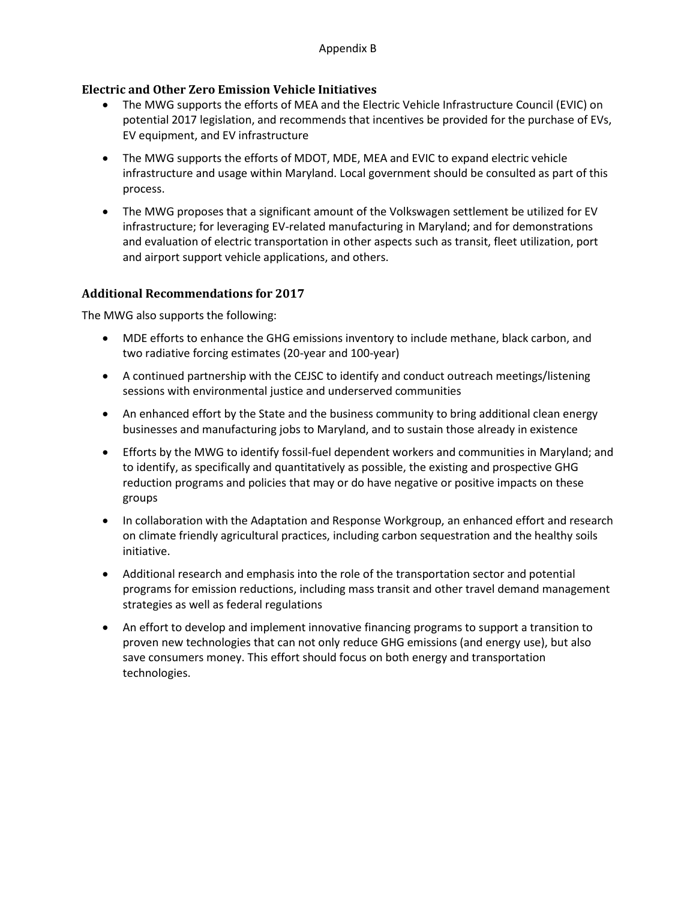## **Electric and Other Zero Emission Vehicle Initiatives**

- The MWG supports the efforts of MEA and the Electric Vehicle Infrastructure Council (EVIC) on potential 2017 legislation, and recommends that incentives be provided for the purchase of EVs, EV equipment, and EV infrastructure
- The MWG supports the efforts of MDOT, MDE, MEA and EVIC to expand electric vehicle infrastructure and usage within Maryland. Local government should be consulted as part of this process.
- The MWG proposes that a significant amount of the Volkswagen settlement be utilized for EV infrastructure; for leveraging EV-related manufacturing in Maryland; and for demonstrations and evaluation of electric transportation in other aspects such as transit, fleet utilization, port and airport support vehicle applications, and others.

## **Additional Recommendations for 2017**

The MWG also supports the following:

- MDE efforts to enhance the GHG emissions inventory to include methane, black carbon, and two radiative forcing estimates (20-year and 100-year)
- A continued partnership with the CEJSC to identify and conduct outreach meetings/listening sessions with environmental justice and underserved communities
- An enhanced effort by the State and the business community to bring additional clean energy businesses and manufacturing jobs to Maryland, and to sustain those already in existence
- Efforts by the MWG to identify fossil-fuel dependent workers and communities in Maryland; and to identify, as specifically and quantitatively as possible, the existing and prospective GHG reduction programs and policies that may or do have negative or positive impacts on these groups
- In collaboration with the Adaptation and Response Workgroup, an enhanced effort and research on climate friendly agricultural practices, including carbon sequestration and the healthy soils initiative.
- Additional research and emphasis into the role of the transportation sector and potential programs for emission reductions, including mass transit and other travel demand management strategies as well as federal regulations
- An effort to develop and implement innovative financing programs to support a transition to proven new technologies that can not only reduce GHG emissions (and energy use), but also save consumers money. This effort should focus on both energy and transportation technologies.